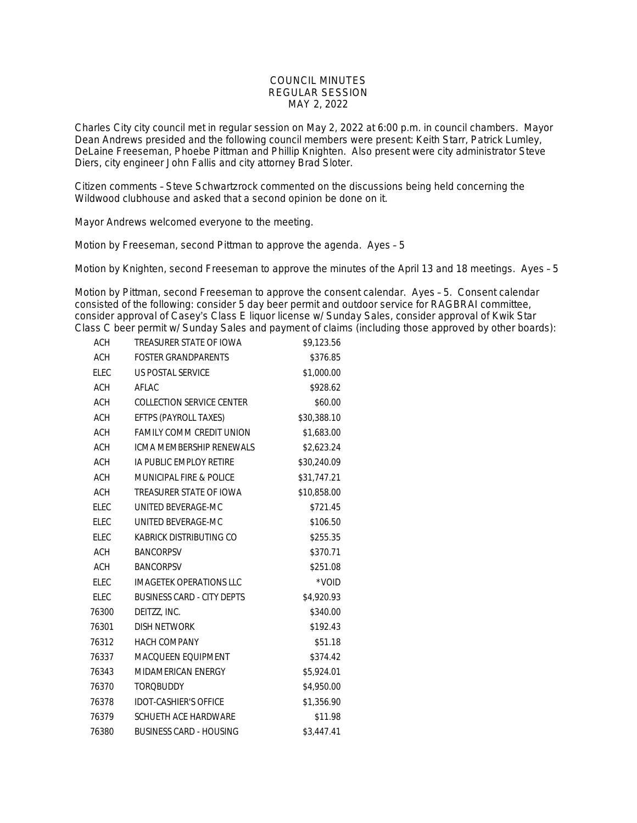## COUNCIL MINUTES REGULAR SESSION MAY 2, 2022

Charles City city council met in regular session on May 2, 2022 at 6:00 p.m. in council chambers. Mayor Dean Andrews presided and the following council members were present: Keith Starr, Patrick Lumley, DeLaine Freeseman, Phoebe Pittman and Phillip Knighten. Also present were city administrator Steve Diers, city engineer John Fallis and city attorney Brad Sloter.

Citizen comments – Steve Schwartzrock commented on the discussions being held concerning the Wildwood clubhouse and asked that a second opinion be done on it.

Mayor Andrews welcomed everyone to the meeting.

Motion by Freeseman, second Pittman to approve the agenda. Ayes – 5

Motion by Knighten, second Freeseman to approve the minutes of the April 13 and 18 meetings. Ayes – 5

Motion by Pittman, second Freeseman to approve the consent calendar. Ayes – 5. Consent calendar consisted of the following: consider 5 day beer permit and outdoor service for RAGBRAI committee, consider approval of Casey's Class E liquor license w/ Sunday Sales, consider approval of Kwik Star Class C beer permit w/ Sunday Sales and payment of claims (including those approved by other boards):

| <b>ACH</b>  | TREASURER STATE OF IOWA           | \$9,123.56  |
|-------------|-----------------------------------|-------------|
| <b>ACH</b>  | <b>FOSTER GRANDPARENTS</b>        | \$376.85    |
| ELEC        | US POSTAL SERVICE                 | \$1,000.00  |
| <b>ACH</b>  | AFLAC                             | \$928.62    |
| <b>ACH</b>  | COLLECTION SERVICE CENTER         | \$60.00     |
| <b>ACH</b>  | EFTPS (PAYROLL TAXES)             | \$30,388.10 |
| ACH         | <b>FAMILY COMM CREDIT UNION</b>   | \$1,683.00  |
| <b>ACH</b>  | ICMA MEMBERSHIP RENEWALS          | \$2,623.24  |
| <b>ACH</b>  | IA PUBLIC EMPLOY RETIRE           | \$30,240.09 |
| <b>ACH</b>  | MUNICIPAL FIRE & POLICE           | \$31,747.21 |
| <b>ACH</b>  | TREASURER STATE OF IOWA           | \$10,858.00 |
| <b>ELEC</b> | UNITED BEVERAGE-MC                | \$721.45    |
| <b>ELEC</b> | UNITED BEVERAGE-MC                | \$106.50    |
| <b>ELEC</b> | KABRICK DISTRIBUTING CO           | \$255.35    |
| <b>ACH</b>  | <b>BANCORPSV</b>                  | \$370.71    |
| <b>ACH</b>  | <b>BANCORPSV</b>                  | \$251.08    |
| <b>ELEC</b> | <b>IMAGETEK OPERATIONS LLC</b>    | *VOID       |
| <b>ELEC</b> | <b>BUSINESS CARD - CITY DEPTS</b> | \$4,920.93  |
| 76300       | DEITZZ, INC.                      | \$340.00    |
| 76301       | <b>DISH NETWORK</b>               | \$192.43    |
| 76312       | <b>HACH COMPANY</b>               | \$51.18     |
| 76337       | <b>MACQUEEN EQUIPMENT</b>         | \$374.42    |
| 76343       | MIDAMERICAN ENERGY                | \$5,924.01  |
| 76370       | <b>TOROBUDDY</b>                  | \$4,950.00  |
| 76378       | <b>IDOT-CASHIER'S OFFICE</b>      | \$1,356.90  |
| 76379       | SCHUETH ACE HARDWARE              | \$11.98     |
| 76380       | <b>BUSINESS CARD - HOUSING</b>    | \$3,447.41  |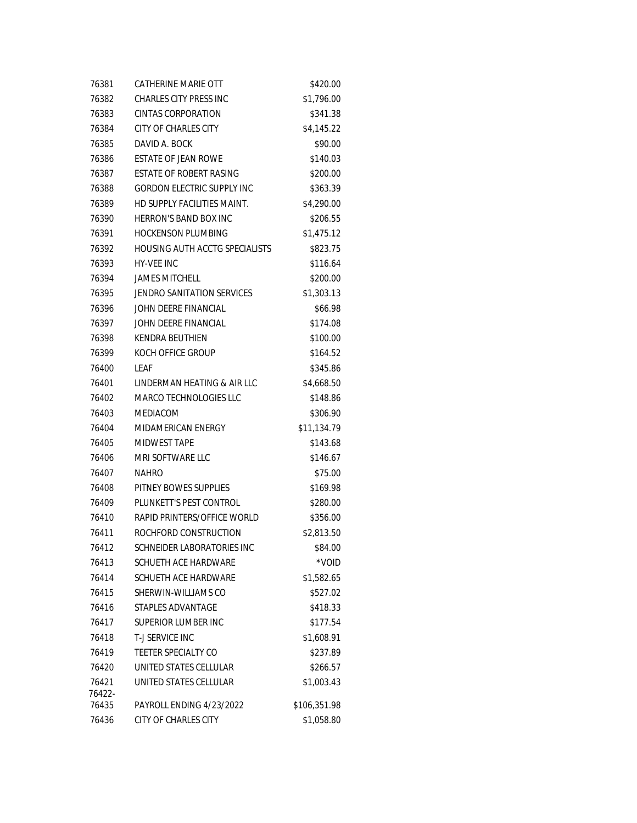| 76381           | CATHERINE MARIE OTT               | \$420.00     |
|-----------------|-----------------------------------|--------------|
| 76382           | CHARLES CITY PRESS INC            | \$1,796.00   |
| 76383           | <b>CINTAS CORPORATION</b>         | \$341.38     |
| 76384           | <b>CITY OF CHARLES CITY</b>       | \$4,145.22   |
| 76385           | DAVID A. BOCK                     | \$90.00      |
| 76386           | ESTATE OF JEAN ROWE               | \$140.03     |
| 76387           | ESTATE OF ROBERT RASING           | \$200.00     |
| 76388           | <b>GORDON ELECTRIC SUPPLY INC</b> | \$363.39     |
| 76389           | HD SUPPLY FACILITIES MAINT.       | \$4,290.00   |
| 76390           | <b>HERRON'S BAND BOX INC</b>      | \$206.55     |
| 76391           | <b>HOCKENSON PLUMBING</b>         | \$1,475.12   |
| 76392           | HOUSING AUTH ACCTG SPECIALISTS    | \$823.75     |
| 76393           | <b>HY-VEE INC</b>                 | \$116.64     |
| 76394           | <b>JAMES MITCHELL</b>             | \$200.00     |
| 76395           | <b>JENDRO SANITATION SERVICES</b> | \$1,303.13   |
| 76396           | JOHN DEERE FINANCIAL              | \$66.98      |
| 76397           | JOHN DEERE FINANCIAL              | \$174.08     |
| 76398           | <b>KENDRA BEUTHIEN</b>            | \$100.00     |
| 76399           | KOCH OFFICE GROUP                 | \$164.52     |
| 76400           | LEAF                              | \$345.86     |
| 76401           | LINDERMAN HEATING & AIR LLC       | \$4,668.50   |
| 76402           | MARCO TECHNOLOGIES LLC            | \$148.86     |
| 76403           | <b>MEDIACOM</b>                   | \$306.90     |
| 76404           | MIDAMERICAN ENERGY                | \$11,134.79  |
| 76405           | MIDWEST TAPE                      | \$143.68     |
| 76406           | MRI SOFTWARE LLC                  | \$146.67     |
| 76407           | NAHRO                             | \$75.00      |
| 76408           | PITNEY BOWES SUPPLIES             | \$169.98     |
| 76409           | PLUNKETT'S PEST CONTROL           | \$280.00     |
| 76410           | RAPID PRINTERS/OFFICE WORLD       | \$356.00     |
| 76411           | ROCHFORD CONSTRUCTION             | \$2,813.50   |
| 76412           | SCHNEIDER LABORATORIES INC        | \$84.00      |
| 76413           | <b>SCHUFTH ACF HARDWARF</b>       | *VOID        |
| 76414           | SCHUETH ACE HARDWARE              | \$1,582.65   |
| 76415           | SHERWIN-WILLIAMS CO               | \$527.02     |
| 76416           | STAPLES ADVANTAGE                 | \$418.33     |
| 76417           | SUPERIOR LUMBER INC               | \$177.54     |
| 76418           | T-J SERVICE INC                   | \$1,608.91   |
| 76419           | TEETER SPECIALTY CO               | \$237.89     |
| 76420           | UNITED STATES CELLULAR            | \$266.57     |
| 76421<br>76422- | UNITED STATES CELLULAR            | \$1,003.43   |
| 76435           | PAYROLL ENDING 4/23/2022          | \$106,351.98 |
| 76436           | CITY OF CHARLES CITY              | \$1,058.80   |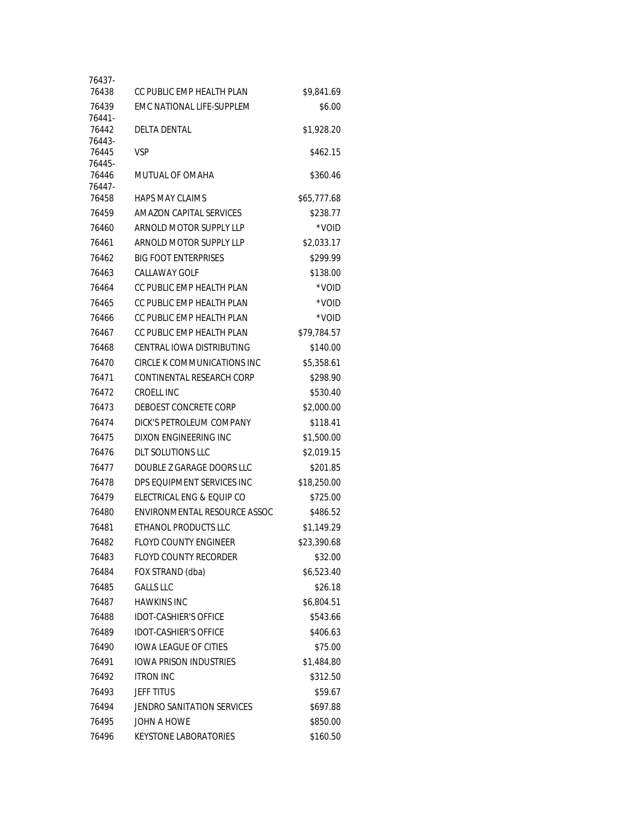| 76438<br>CC PUBLIC EMP HEALTH PLAN<br>EMC NATIONAL LIFE-SUPPLEM<br>76439<br>76441-<br>76442<br><b>DELTA DENTAL</b> | \$9,841.69<br>\$6.00<br>\$1,928.20 |
|--------------------------------------------------------------------------------------------------------------------|------------------------------------|
|                                                                                                                    |                                    |
|                                                                                                                    |                                    |
|                                                                                                                    |                                    |
| 76443-                                                                                                             |                                    |
| 76445<br><b>VSP</b>                                                                                                | \$462.15                           |
| 76445-                                                                                                             |                                    |
| 76446<br>MUTUAL OF OMAHA                                                                                           | \$360.46                           |
| 76447-<br>76458<br><b>HAPS MAY CLAIMS</b>                                                                          | \$65,777.68                        |
| 76459<br>AMAZON CAPITAL SERVICES                                                                                   | \$238.77                           |
| ARNOLD MOTOR SUPPLY LLP<br>76460                                                                                   | *VOID                              |
| 76461<br>ARNOLD MOTOR SUPPLY LLP                                                                                   | \$2,033.17                         |
| 76462<br><b>BIG FOOT ENTERPRISES</b>                                                                               | \$299.99                           |
| 76463<br>CALLAWAY GOLF                                                                                             | \$138.00                           |
| 76464<br>CC PUBLIC EMP HEALTH PLAN                                                                                 | *VOID                              |
| CC PUBLIC EMP HEALTH PLAN<br>76465                                                                                 | *VOID                              |
|                                                                                                                    |                                    |
| CC PUBLIC EMP HEALTH PLAN<br>76466                                                                                 | *VOID                              |
| 76467<br>CC PUBLIC EMP HEALTH PLAN                                                                                 | \$79,784.57                        |
| 76468<br>CENTRAL IOWA DISTRIBUTING                                                                                 | \$140.00                           |
| 76470<br>CIRCLE K COMMUNICATIONS INC                                                                               | \$5,358.61                         |
| CONTINENTAL RESEARCH CORP<br>76471                                                                                 | \$298.90                           |
| 76472<br>CROELL INC                                                                                                | \$530.40                           |
| 76473<br>DEBOEST CONCRETE CORP                                                                                     | \$2,000.00                         |
| 76474<br>DICK'S PETROLEUM COMPANY                                                                                  | \$118.41                           |
| 76475<br>DIXON ENGINEERING INC                                                                                     | \$1,500.00                         |
| <b>DLT SOLUTIONS LLC</b><br>76476                                                                                  | \$2,019.15                         |
| 76477<br>DOUBLE Z GARAGE DOORS LLC                                                                                 | \$201.85                           |
| 76478<br>DPS EQUIPMENT SERVICES INC                                                                                | \$18,250.00                        |
| 76479<br>ELECTRICAL ENG & EOUIP CO                                                                                 | \$725.00                           |
| 76480<br>ENVIRONMENTAL RESOURCE ASSOC                                                                              | \$486.52                           |
| 76481<br>ETHANOL PRODUCTS LLC                                                                                      | \$1,149.29                         |
| 76482<br><b>FLOYD COUNTY ENGINEER</b>                                                                              | \$23,390.68                        |
| FLOYD COUNTY RECORDER<br>76483                                                                                     | \$32.00                            |
| FOX STRAND (dba)<br>76484                                                                                          | \$6,523.40                         |
| <b>GALLS LLC</b><br>76485                                                                                          | \$26.18                            |
| 76487<br><b>HAWKINS INC</b>                                                                                        | \$6,804.51                         |
| 76488<br><b>IDOT-CASHIER'S OFFICE</b>                                                                              | \$543.66                           |
| 76489<br><b>IDOT-CASHIER'S OFFICE</b>                                                                              | \$406.63                           |
| <b>IOWA LEAGUE OF CITIES</b><br>76490                                                                              | \$75.00                            |
| <b>IOWA PRISON INDUSTRIES</b><br>76491                                                                             | \$1,484.80                         |
| 76492<br><b>ITRON INC</b>                                                                                          | \$312.50                           |
| 76493<br><b>JEFF TITUS</b>                                                                                         | \$59.67                            |
| 76494<br>JENDRO SANITATION SERVICES                                                                                | \$697.88                           |
| JOHN A HOWE<br>76495                                                                                               | \$850.00                           |
| 76496<br>KEYSTONE LABORATORIES                                                                                     | \$160.50                           |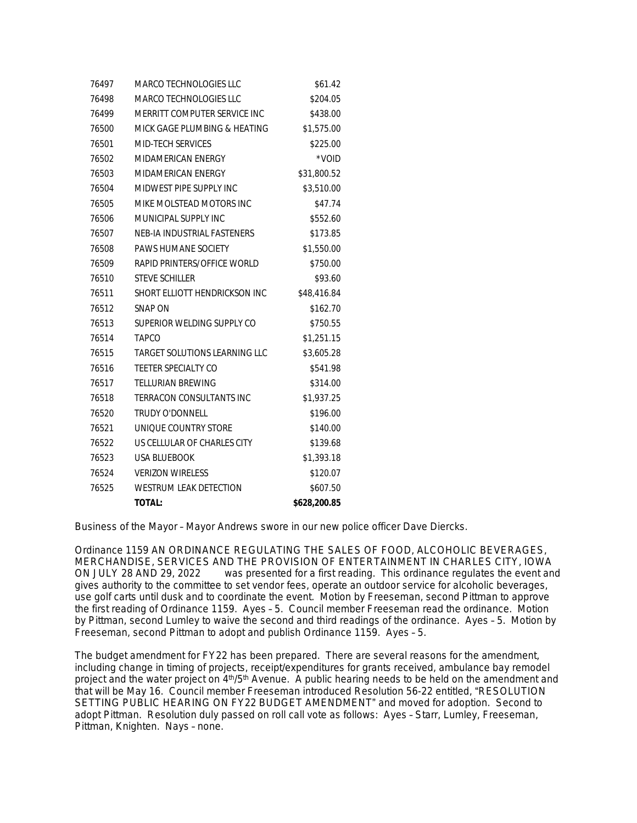| 76497 | MARCO TECHNOLOGIES LLC               | \$61.42         |
|-------|--------------------------------------|-----------------|
| 76498 | MARCO TECHNOLOGIES LLC               | \$204.05        |
| 76499 | MERRITT COMPUTER SERVICE INC         | \$438.00        |
| 76500 | MICK GAGE PLUMBING & HEATING         | \$1,575.00      |
| 76501 | MID-TECH SERVICES                    | \$225.00        |
| 76502 | MIDAMERICAN ENERGY                   | $^{\star}$ VOID |
| 76503 | MIDAMERICAN ENERGY                   | \$31,800.52     |
| 76504 | MIDWEST PIPE SUPPLY INC              | \$3,510.00      |
| 76505 | MIKE MOLSTEAD MOTORS INC             | \$47.74         |
| 76506 | MUNICIPAL SUPPLY INC                 | \$552.60        |
| 76507 | NEB-IA INDUSTRIAL FASTENERS          | \$173.85        |
| 76508 | <b>PAWS HUMANE SOCIETY</b>           | \$1,550.00      |
| 76509 | RAPID PRINTERS/OFFICE WORLD          | \$750.00        |
| 76510 | <b>STEVE SCHILLER</b>                | \$93.60         |
| 76511 | SHORT ELLIOTT HENDRICKSON INC        | \$48,416.84     |
| 76512 | SNAP ON                              | \$162.70        |
| 76513 | SUPERIOR WELDING SUPPLY CO           | \$750.55        |
| 76514 | <b>TAPCO</b>                         | \$1,251.15      |
| 76515 | <b>TARGET SOLUTIONS LEARNING LLC</b> | \$3,605.28      |
| 76516 | TEETER SPECIALTY CO                  | \$541.98        |
| 76517 | <b>TELLURIAN BREWING</b>             | \$314.00        |
| 76518 | TERRACON CONSULTANTS INC             | \$1,937.25      |
| 76520 | <b>TRUDY O'DONNELL</b>               | \$196.00        |
| 76521 | UNIQUE COUNTRY STORE                 | \$140.00        |
| 76522 | US CELLULAR OF CHARLES CITY          | \$139.68        |
| 76523 | <b>USA BLUEBOOK</b>                  | \$1,393.18      |
| 76524 | <b>VERIZON WIRELESS</b>              | \$120.07        |
| 76525 | <b>WESTRUM LEAK DETECTION</b>        | \$607.50        |
|       | <b>TOTAL:</b>                        | \$628,200.85    |

Business of the Mayor – Mayor Andrews swore in our new police officer Dave Diercks.

Ordinance 1159 AN ORDINANCE REGULATING THE SALES OF FOOD, ALCOHOLIC BEVERAGES, MERCHANDISE, SERVICES AND THE PROVISION OF ENTERTAINMENT IN CHARLES CITY, IOWA ON JULY 28 AND 29, 2022 was presented for a first reading. This ordinance regulates the event and gives authority to the committee to set vendor fees, operate an outdoor service for alcoholic beverages, use golf carts until dusk and to coordinate the event. Motion by Freeseman, second Pittman to approve the first reading of Ordinance 1159. Ayes – 5. Council member Freeseman read the ordinance. Motion by Pittman, second Lumley to waive the second and third readings of the ordinance. Ayes – 5. Motion by Freeseman, second Pittman to adopt and publish Ordinance 1159. Ayes – 5.

The budget amendment for FY22 has been prepared. There are several reasons for the amendment, including change in timing of projects, receipt/expenditures for grants received, ambulance bay remodel project and the water project on 4<sup>th</sup>/5<sup>th</sup> Avenue. A public hearing needs to be held on the amendment and that will be May 16. Council member Freeseman introduced Resolution 56-22 entitled, "RESOLUTION SETTING PUBLIC HEARING ON FY22 BUDGET AMENDMENT" and moved for adoption. Second to adopt Pittman. Resolution duly passed on roll call vote as follows: Ayes – Starr, Lumley, Freeseman, Pittman, Knighten. Nays – none.